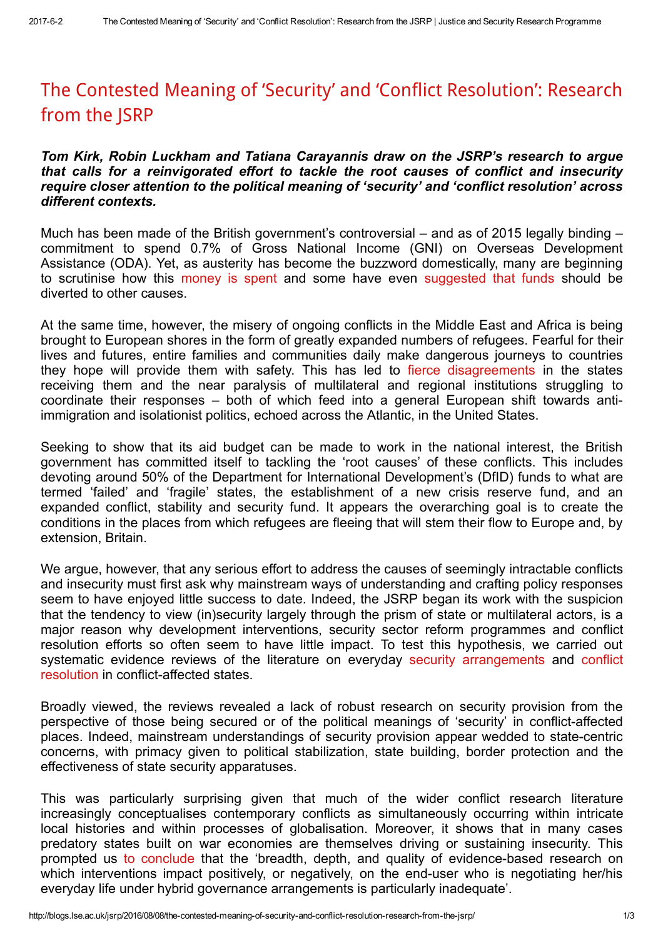## The Contested Meaning of 'Security' and 'Conflict [Resolution':](http://blogs.lse.ac.uk/jsrp/2016/08/08/the-contested-meaning-of-security-and-conflict-resolution-research-from-the-jsrp/) Research from the JSRP

## Tom Kirk, Robin Luckham and Tatiana Carayannis draw on the JSRP's research to argue that calls for a reinvigorated effort to tackle the root causes of conflict and insecurity require closer attention to the political meaning of 'security' and 'conflict resolution' across different contexts.

Much has been made of the British government's controversial – and as of 2015 legally binding – commitment to spend 0.7% of Gross National Income (GNI) on Overseas Development Assistance (ODA). Yet, as austerity has become the buzzword domestically, many are beginning to scrutinise how this [money](http://www.dailymail.co.uk/news/article-3531963/Poverty-barons-payday-bonanza-Fatcats-cashing-British-aid-boom-driving-profits-pays-dividends-poorest-parts-world.html) is spent and some have even [suggested](http://www.express.co.uk/news/politics/592814/George-Osborne-overseas-aid-budget-spending-cuts) that funds should be diverted to other causes.

At the same time, however, the misery of ongoing conflicts in the Middle East and Africa is being brought to European shores in the form of greatly expanded numbers of refugees. Fearful for their lives and futures, entire families and communities daily make dangerous journeys to countries they hope will provide them with safety. This has led to fierce [disagreements](http://www.abc.net.au/news/2016-01-21/dalsanto-germanys-compassion-moment-is-over/7103576) in the states receiving them and the near paralysis of multilateral and regional institutions struggling to coordinate their responses – both of which feed into a general European shift towards antiimmigration and isolationist politics, echoed across the Atlantic, in the United States.

Seeking to show that its aid budget can be made to work in the national interest, the British government has committed itself to tackling the 'root causes' of these conflicts. This includes devoting around 50% of the Department for International Development's (DfID) funds to what are termed 'failed' and 'fragile' states, the establishment of a new crisis reserve fund, and an expanded conflict, stability and security fund. It appears the overarching goal is to create the conditions in the places from which refugees are fleeing that will stem their flow to Europe and, by extension, Britain.

We argue, however, that any serious effort to address the causes of seemingly intractable conflicts and insecurity must first ask why mainstream ways of understanding and crafting policy responses seem to have enjoyed little success to date. Indeed, the JSRP began its work with the suspicion that the tendency to view (in)security largely through the prism of state or multilateral actors, is a major reason why development interventions, security sector reform programmes and conflict resolution efforts so often seem to have little impact. To test this hypothesis, we carried out systematic evidence reviews of the literature on everyday security [arrangements](http://www.tandfonline.com/eprint/k9MIWzfaQRItDt4vauKD/full#.V309nzVGQ9o) and conflict resolution in conflict-affected states.

Broadly viewed, the reviews revealed a lack of robust research on security provision from the perspective of those being secured or of the political meanings of 'security' in conflict-affected places. Indeed, mainstream understandings of security provision appear wedded to state-centric concerns, with primacy given to political stabilization, state building, border protection and the effectiveness of state security apparatuses.

This was particularly surprising given that much of the wider conflict research literature increasingly conceptualises contemporary conflicts as simultaneously occurring within intricate local histories and within processes of globalisation. Moreover, it shows that in many cases predatory states built on war economies are themselves driving or sustaining insecurity. This prompted us to [conclude](http://www.lse.ac.uk/internationalDevelopment/research/JSRP/downloads/JSRP11.CarayannisEtAl.pdf) that the 'breadth, depth, and quality of evidence-based research on which interventions impact positively, or negatively, on the end-user who is negotiating her/his everyday life under hybrid governance arrangements is particularly inadequate'.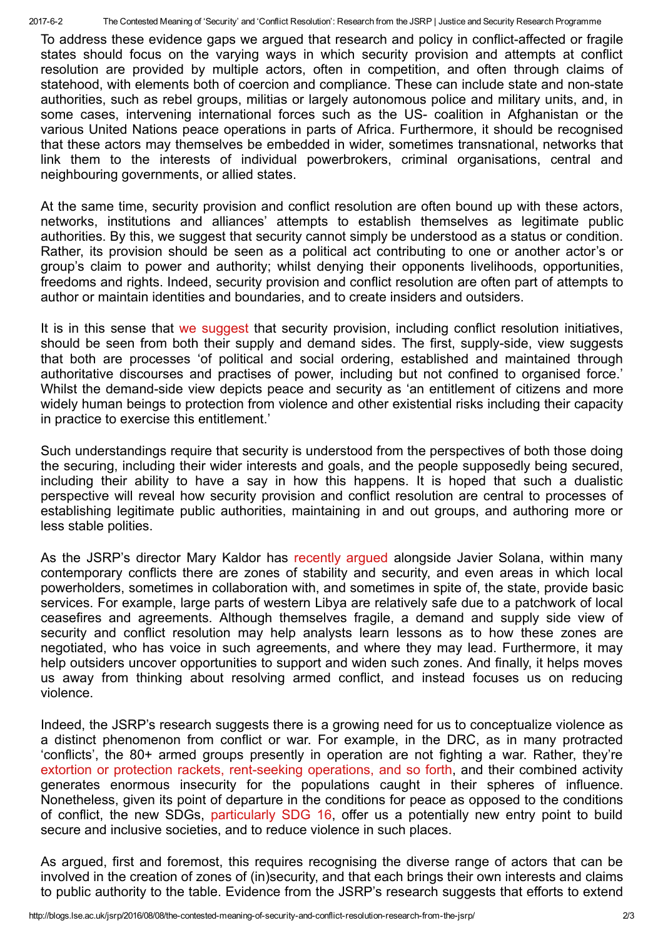To address these evidence gaps we argued that research and policy in conflict-affected or fragile states should focus on the varying ways in which security provision and attempts at conflict resolution are provided by multiple actors, often in competition, and often through claims of statehood, with elements both of coercion and compliance. These can include state and nonstate authorities, such as rebel groups, militias or largely autonomous police and military units, and, in some cases, intervening international forces such as the US- coalition in Afghanistan or the various United Nations peace operations in parts of Africa. Furthermore, it should be recognised that these actors may themselves be embedded in wider, sometimes transnational, networks that link them to the interests of individual powerbrokers, criminal organisations, central and neighbouring governments, or allied states.

At the same time, security provision and conflict resolution are often bound up with these actors, networks, institutions and alliances' attempts to establish themselves as legitimate public authorities. By this, we suggest that security cannot simply be understood as a status or condition. Rather, its provision should be seen as a political act contributing to one or another actor's or group's claim to power and authority; whilst denying their opponents livelihoods, opportunities, freedoms and rights. Indeed, security provision and conflict resolution are often part of attempts to author or maintain identities and boundaries, and to create insiders and outsiders.

It is in this sense that we [suggest](https://www.google.co.uk/url?sa=t&rct=j&q=&esrc=s&source=web&cd=1&ved=0ahUKEwis3-W8garOAhVBDMAKHV0oB1kQFgggMAA&url=http%3A%2F%2Fwww.stabilityjournal.org%2Farticles%2F10.5334%2Fsta.cf%2Fgalley%2F127%2Fdownload%2F&usg=AFQjCNFPC1bdUdkgO-K8Mr0uxGaCDbSjXw&sig2=9D-R785LsGNho00UivZVog&cad=rja) that security provision, including conflict resolution initiatives, should be seen from both their supply and demand sides. The first, supply-side, view suggests that both are processes 'of political and social ordering, established and maintained through authoritative discourses and practises of power, including but not confined to organised force.' Whilst the demand-side view depicts peace and security as 'an entitlement of citizens and more widely human beings to protection from violence and other existential risks including their capacity in practice to exercise this entitlement.'

Such understandings require that security is understood from the perspectives of both those doing the securing, including their wider interests and goals, and the people supposedly being secured, including their ability to have a say in how this happens. It is hoped that such a dualistic perspective will reveal how security provision and conflict resolution are central to processes of establishing legitimate public authorities, maintaining in and out groups, and authoring more or less stable polities.

As the JSRP's director Mary Kaldor has [recently](https://www.opendemocracy.net/can-europe-make-it/mary-kaldor-javier-solana/from-hybrid-peace-to-human-security) argued alongside Javier Solana, within many contemporary conflicts there are zones of stability and security, and even areas in which local powerholders, sometimes in collaboration with, and sometimes in spite of, the state, provide basic services. For example, large parts of western Libya are relatively safe due to a patchwork of local ceasefires and agreements. Although themselves fragile, a demand and supply side view of security and conflict resolution may help analysts learn lessons as to how these zones are negotiated, who has voice in such agreements, and where they may lead. Furthermore, it may help outsiders uncover opportunities to support and widen such zones. And finally, it helps moves us away from thinking about resolving armed conflict, and instead focuses us on reducing violence.

Indeed, the JSRP's research suggests there is a growing need for us to conceptualize violence as a distinct phenomenon from conflict or war. For example, in the DRC, as in many protracted 'conflicts', the 80+ armed groups presently in operation are not fighting a war. Rather, they're extortion or protection rackets, rent-seeking operations, and so forth, and their combined activity generates enormous insecurity for the populations caught in their spheres of influence. Nonetheless, given its point of departure in the conditions for peace as opposed to the conditions of conflict, the new SDGs, [particularly](http://www.undp.org/content/undp/en/home/sdgoverview/post-2015-development-agenda/goal-16.html) SDG 16, offer us a potentially new entry point to build secure and inclusive societies, and to reduce violence in such places.

As argued, first and foremost, this requires recognising the diverse range of actors that can be involved in the creation of zones of (in)security, and that each brings their own interests and claims to public authority to the table. Evidence from the JSRP's research suggests that efforts to extend